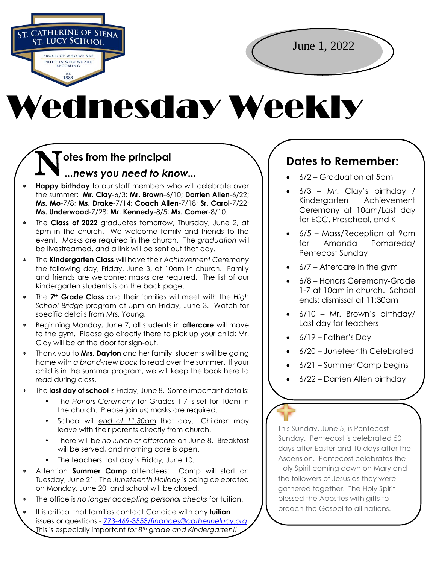**ST. CATHERINE OF SIENA**<br>ST. LUCY SCHOOL **PROUD OF WHO WE ARE PRIDE IN WHO WE ARE** EST.<br>1889

June 1, 2022

## Wednesday Weekly

## **N** otes from the principal<br>
...news you need to kr *...news you need to know...*

- **Happy birthday** to our staff members who will celebrate over the summer: **Mr. Clay**-6/3; **Mr. Brown**-6/10; **Darrien Allen**-6/22; **Ms. Mo**-7/8; **Ms. Drake**-7/14; **Coach Allen**-7/18; **Sr. Carol**-7/22; **Ms. Underwood**-7/28; **Mr. Kennedy**-8/5; **Ms. Comer**-8/10.
- The **Class of 2022** graduates tomorrow, Thursday, June 2, at 5pm in the church. We welcome family and friends to the event. Masks are required in the church. The *graduation* will be livestreamed, and a link will be sent out that day.
- The **Kindergarten Class** will have their *Achievement Ceremony* the following day, Friday, June 3, at 10am in church. Family and friends are welcome; masks are required. The list of our Kindergarten students is on the back page.
- The **7th Grade Class** and their families will meet with the *High School Bridge* program at 5pm on Friday, June 3. Watch for specific details from Mrs. Young.
- Beginning Monday, June 7, all students in **aftercare** will move to the gym. Please go directly there to pick up your child; Mr. Clay will be at the door for sign-out.
- Thank you to **Mrs. Dayton** and her family, students will be going home with *a brand-new book* to read over the summer. If your child is in the summer program, we will keep the book here to read during class.
- The **last day of school** is Friday, June 8. Some important details:
	- The *Honors Ceremony* for Grades 1-7 is set for 10am in the church. Please join us; masks are required.
	- School will *end at 11:30am* that day. Children may leave with their parents directly from church.
	- There will be *no lunch or aftercare* on June 8. Breakfast will be served, and morning care is open.
	- The teachers' last day is Friday, June 10.
- Attention **Summer Camp** attendees: Camp will start on Tuesday, June 21. The *Juneteenth Holiday* is being celebrated on Monday, June 20, and school will be closed.
- The office is *no longer accepting personal checks* for tuition.
- It is critical that families contact Candice with any **tuition** issues or questions - 773-469-3553/*[finances@catherinelucy.org](mailto:773-469-3553/finances@catherinelucy.org)* This is especially important *for 8th grade and Kindergarten!!*

## **Dates to Remember:**

- 6/2 Graduation at 5pm
- $\bullet$  6/3 Mr. Clay's birthday / Kindergarten Achievement Ceremony at 10am/Last day for ECC, Preschool, and K
- 6/5 Mass/Reception at 9am for Amanda Pomareda/ Pentecost Sunday
- $\bullet$  6/7 Aftercare in the gym
- 6/8 Honors Ceremony-Grade 1-7 at 10am in church. School ends; dismissal at 11:30am
- 6/10 Mr. Brown's birthday/ Last day for teachers
- $\bullet$  6/19 Father's Day
- 6/20 Juneteenth Celebrated
- 6/21 Summer Camp begins
- 6/22 Darrien Allen birthday

This Sunday, June 5, is Pentecost Sunday. Pentecost is celebrated 50 days after Easter and 10 days after the Ascension. Pentecost celebrates the Holy Spirit coming down on Mary and the followers of Jesus as they were gathered together. The Holy Spirit blessed the Apostles with gifts to preach the Gospel to all nations.